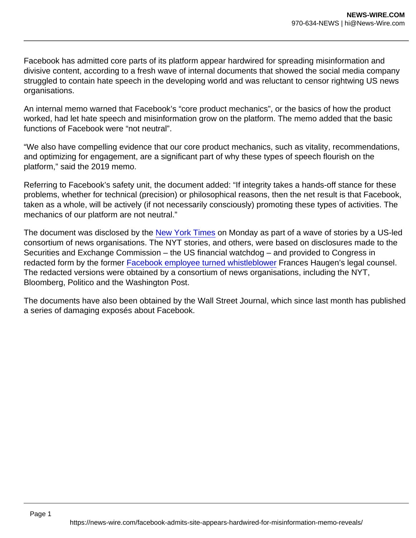Facebook has admitted core parts of its platform appear hardwired for spreading misinformation and divisive content, according to a fresh wave of internal documents that showed the social media company struggled to contain hate speech in the developing world and was reluctant to censor rightwing US news organisations.

An internal memo warned that Facebook's "core product mechanics", or the basics of how the product worked, had let hate speech and misinformation grow on the platform. The memo added that the basic functions of Facebook were "not neutral".

"We also have compelling evidence that our core product mechanics, such as vitality, recommendations, and optimizing for engagement, are a significant part of why these types of speech flourish on the platform," said the 2019 memo.

Referring to Facebook's safety unit, the document added: "If integrity takes a hands-off stance for these problems, whether for technical (precision) or philosophical reasons, then the net result is that Facebook, taken as a whole, will be actively (if not necessarily consciously) promoting these types of activities. The mechanics of our platform are not neutral."

The document was disclosed by the [New York Times](https://www.nytimes.com/2021/10/25/technology/facebook-like-share-buttons.html) on Monday as part of a wave of stories by a US-led consortium of news organisations. The NYT stories, and others, were based on disclosures made to the Securities and Exchange Commission – the US financial watchdog – and provided to Congress in redacted form by the former [Facebook employee turned whistleblower](https://www.theguardian.com/technology/2021/oct/24/frances-haugen-i-never-wanted-to-be-a-whistleblower-but-lives-were-in-danger) Frances Haugen's legal counsel. The redacted versions were obtained by a consortium of news organisations, including the NYT, Bloomberg, Politico and the Washington Post.

The documents have also been obtained by the Wall Street Journal, which since last month has published a series of damaging exposés about Facebook.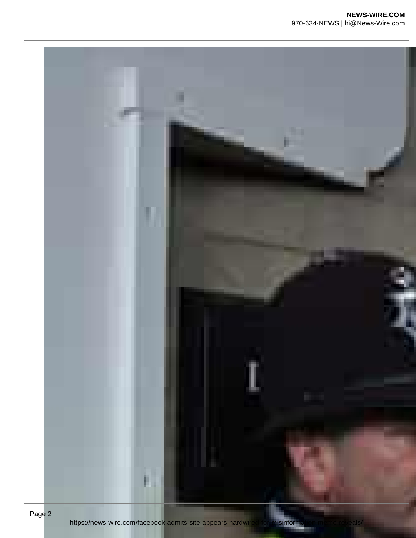## **NEWS-WIRE.COM** 970-634-NEWS | hi@News-Wire.com

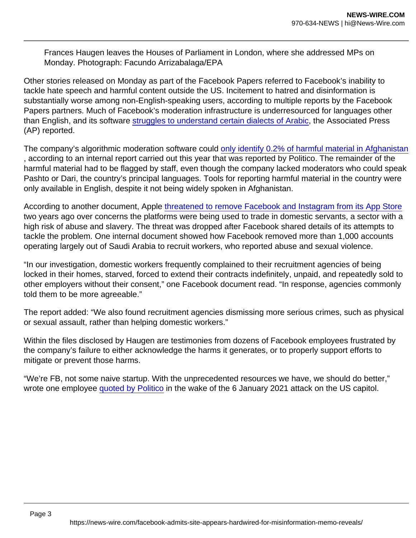Frances Haugen leaves the Houses of Parliament in London, where she addressed MPs on Monday. Photograph: Facundo Arrizabalaga/EPA

Other stories released on Monday as part of the Facebook Papers referred to Facebook's inability to tackle hate speech and harmful content outside the US. Incitement to hatred and disinformation is substantially worse among non-English-speaking users, according to multiple reports by the Facebook Papers partners. Much of Facebook's moderation infrastructure is underresourced for languages other than English, and its software [struggles to understand certain dialects of Arabic,](https://apnews.com/article/the-facebook-papers-language-moderation-problems-392cb2d065f81980713f37384d07e61f) the Associated Press (AP) reported.

The company's algorithmic moderation software could [only identify 0.2% of harmful material in Afghanistan](https://www.politico.eu/article/facebook-content-moderation-posts-wars-afghanistan-middle-east-arabic/) , according to an internal report carried out this year that was reported by Politico. The remainder of the harmful material had to be flagged by staff, even though the company lacked moderators who could speak Pashto or Dari, the country's principal languages. Tools for reporting harmful material in the country were only available in English, despite it not being widely spoken in Afghanistan.

According to another document, Apple [threatened to remove Facebook and Instagram from its App Store](https://apnews.com/article/the-facebook-papers-maid-abuse-94909f43c725af09522704348e35bd25) two years ago over concerns the platforms were being used to trade in domestic servants, a sector with a high risk of abuse and slavery. The threat was dropped after Facebook shared details of its attempts to tackle the problem. One internal document showed how Facebook removed more than 1,000 accounts operating largely out of Saudi Arabia to recruit workers, who reported abuse and sexual violence.

"In our investigation, domestic workers frequently complained to their recruitment agencies of being locked in their homes, starved, forced to extend their contracts indefinitely, unpaid, and repeatedly sold to other employers without their consent," one Facebook document read. "In response, agencies commonly told them to be more agreeable."

The report added: "We also found recruitment agencies dismissing more serious crimes, such as physical or sexual assault, rather than helping domestic workers."

Within the files disclosed by Haugen are testimonies from dozens of Facebook employees frustrated by the company's failure to either acknowledge the harms it generates, or to properly support efforts to mitigate or prevent those harms.

"We're FB, not some naive startup. With the unprecedented resources we have, we should do better," wrote one employee [quoted by Politico](https://www.politico.com/news/2021/10/25/facebook-employees-message-anguish-517012) in the wake of the 6 January 2021 attack on the US capitol.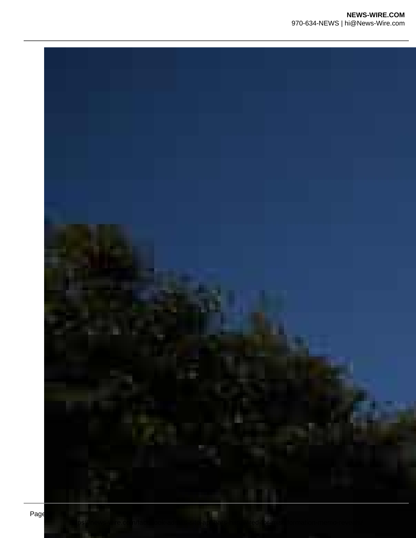